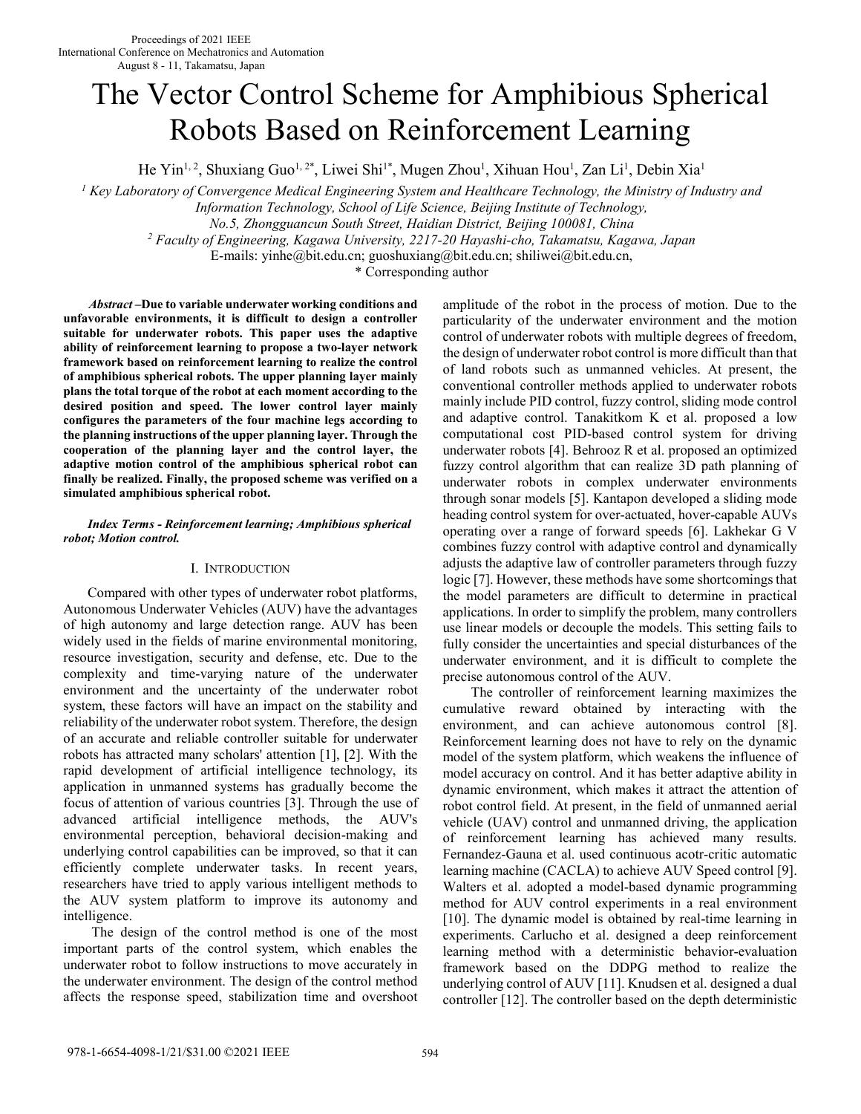# The Vector Control Scheme for Amphibious Spherical Robots Based on Reinforcement Learning

He Yin<sup>1, 2</sup>, Shuxiang Guo<sup>1, 2\*</sup>, Liwei Shi<sup>1\*</sup>, Mugen Zhou<sup>1</sup>, Xihuan Hou<sup>1</sup>, Zan Li<sup>1</sup>, Debin Xia<sup>1</sup>

<sup>1</sup> Key Laboratory of Convergence Medical Engineering System and Healthcare Technology, the Ministry of Industry and

*Information Technology, School of Life Science, Beijing Institute of Technology,* 

*No.5, Zhongguancun South Street, Haidian District, Beijing 100081, China*

*2 Faculty of Engineering, Kagawa University, 2217-20 Hayashi-cho, Takamatsu, Kagawa, Japan* 

E-mails: yinhe@bit.edu.cn; guoshuxiang@bit.edu.cn; shiliwei@bit.edu.cn,

\* Corresponding author

*Abstract* **–Due to variable underwater working conditions and unfavorable environments, it is difficult to design a controller suitable for underwater robots. This paper uses the adaptive ability of reinforcement learning to propose a two-layer network framework based on reinforcement learning to realize the control of amphibious spherical robots. The upper planning layer mainly plans the total torque of the robot at each moment according to the desired position and speed. The lower control layer mainly configures the parameters of the four machine legs according to the planning instructions of the upper planning layer. Through the cooperation of the planning layer and the control layer, the adaptive motion control of the amphibious spherical robot can finally be realized. Finally, the proposed scheme was verified on a simulated amphibious spherical robot.** 

## *Index Terms - Reinforcement learning; Amphibious spherical robot; Motion control.*

# I. INTRODUCTION

 Compared with other types of underwater robot platforms, Autonomous Underwater Vehicles (AUV) have the advantages of high autonomy and large detection range. AUV has been widely used in the fields of marine environmental monitoring, resource investigation, security and defense, etc. Due to the complexity and time-varying nature of the underwater environment and the uncertainty of the underwater robot system, these factors will have an impact on the stability and reliability of the underwater robot system. Therefore, the design of an accurate and reliable controller suitable for underwater robots has attracted many scholars' attention [1], [2]. With the rapid development of artificial intelligence technology, its application in unmanned systems has gradually become the focus of attention of various countries [3]. Through the use of advanced artificial intelligence methods, the AUV's environmental perception, behavioral decision-making and underlying control capabilities can be improved, so that it can efficiently complete underwater tasks. In recent years, researchers have tried to apply various intelligent methods to the AUV system platform to improve its autonomy and intelligence.

The design of the control method is one of the most important parts of the control system, which enables the underwater robot to follow instructions to move accurately in the underwater environment. The design of the control method affects the response speed, stabilization time and overshoot amplitude of the robot in the process of motion. Due to the particularity of the underwater environment and the motion control of underwater robots with multiple degrees of freedom, the design of underwater robot control is more difficult than that of land robots such as unmanned vehicles. At present, the conventional controller methods applied to underwater robots mainly include PID control, fuzzy control, sliding mode control and adaptive control. Tanakitkom K et al. proposed a low computational cost PID-based control system for driving underwater robots [4]. Behrooz R et al. proposed an optimized fuzzy control algorithm that can realize 3D path planning of underwater robots in complex underwater environments through sonar models [5]. Kantapon developed a sliding mode heading control system for over-actuated, hover-capable AUVs operating over a range of forward speeds [6]. Lakhekar G V combines fuzzy control with adaptive control and dynamically adjusts the adaptive law of controller parameters through fuzzy logic [7]. However, these methods have some shortcomings that the model parameters are difficult to determine in practical applications. In order to simplify the problem, many controllers use linear models or decouple the models. This setting fails to fully consider the uncertainties and special disturbances of the underwater environment, and it is difficult to complete the precise autonomous control of the AUV.

The controller of reinforcement learning maximizes the cumulative reward obtained by interacting with the environment, and can achieve autonomous control [8]. Reinforcement learning does not have to rely on the dynamic model of the system platform, which weakens the influence of model accuracy on control. And it has better adaptive ability in dynamic environment, which makes it attract the attention of robot control field. At present, in the field of unmanned aerial vehicle (UAV) control and unmanned driving, the application of reinforcement learning has achieved many results. Fernandez-Gauna et al. used continuous acotr-critic automatic learning machine (CACLA) to achieve AUV Speed control [9]. Walters et al. adopted a model-based dynamic programming method for AUV control experiments in a real environment [10]. The dynamic model is obtained by real-time learning in experiments. Carlucho et al. designed a deep reinforcement learning method with a deterministic behavior-evaluation framework based on the DDPG method to realize the underlying control of AUV [11]. Knudsen et al. designed a dual controller [12]. The controller based on the depth deterministic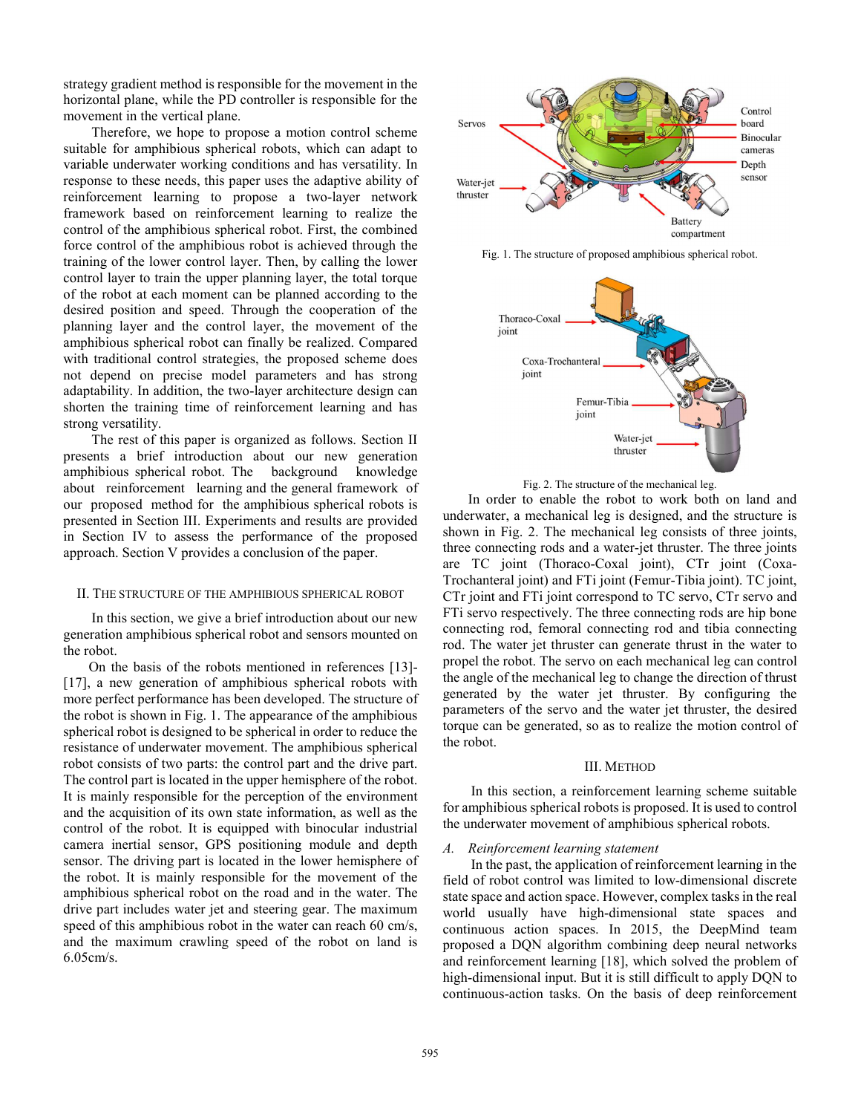strategy gradient method is responsible for the movement in the horizontal plane, while the PD controller is responsible for the movement in the vertical plane.

Therefore, we hope to propose a motion control scheme suitable for amphibious spherical robots, which can adapt to variable underwater working conditions and has versatility. In response to these needs, this paper uses the adaptive ability of reinforcement learning to propose a two-layer network framework based on reinforcement learning to realize the control of the amphibious spherical robot. First, the combined force control of the amphibious robot is achieved through the training of the lower control layer. Then, by calling the lower control layer to train the upper planning layer, the total torque of the robot at each moment can be planned according to the desired position and speed. Through the cooperation of the planning layer and the control layer, the movement of the amphibious spherical robot can finally be realized. Compared with traditional control strategies, the proposed scheme does not depend on precise model parameters and has strong adaptability. In addition, the two-layer architecture design can shorten the training time of reinforcement learning and has strong versatility.

The rest of this paper is organized as follows. Section II presents a brief introduction about our new generation amphibious spherical robot. The background knowledge about reinforcement learning and the general framework of our proposed method for the amphibious spherical robots is presented in Section III. Experiments and results are provided in Section IV to assess the performance of the proposed approach. Section V provides a conclusion of the paper.

#### II. THE STRUCTURE OF THE AMPHIBIOUS SPHERICAL ROBOT

In this section, we give a brief introduction about our new generation amphibious spherical robot and sensors mounted on the robot.

 On the basis of the robots mentioned in references [13]- [17], a new generation of amphibious spherical robots with more perfect performance has been developed. The structure of the robot is shown in Fig. 1. The appearance of the amphibious spherical robot is designed to be spherical in order to reduce the resistance of underwater movement. The amphibious spherical robot consists of two parts: the control part and the drive part. The control part is located in the upper hemisphere of the robot. It is mainly responsible for the perception of the environment and the acquisition of its own state information, as well as the control of the robot. It is equipped with binocular industrial camera inertial sensor, GPS positioning module and depth sensor. The driving part is located in the lower hemisphere of the robot. It is mainly responsible for the movement of the amphibious spherical robot on the road and in the water. The drive part includes water jet and steering gear. The maximum speed of this amphibious robot in the water can reach 60 cm/s, and the maximum crawling speed of the robot on land is 6.05cm/s.



Fig. 1. The structure of proposed amphibious spherical robot.



Fig. 2. The structure of the mechanical leg.

 In order to enable the robot to work both on land and underwater, a mechanical leg is designed, and the structure is shown in Fig. 2. The mechanical leg consists of three joints, three connecting rods and a water-jet thruster. The three joints are TC joint (Thoraco-Coxal joint), CTr joint (Coxa-Trochanteral joint) and FTi joint (Femur-Tibia joint). TC joint, CTr joint and FTi joint correspond to TC servo, CTr servo and FTi servo respectively. The three connecting rods are hip bone connecting rod, femoral connecting rod and tibia connecting rod. The water jet thruster can generate thrust in the water to propel the robot. The servo on each mechanical leg can control the angle of the mechanical leg to change the direction of thrust generated by the water jet thruster. By configuring the parameters of the servo and the water jet thruster, the desired torque can be generated, so as to realize the motion control of the robot.

#### III. METHOD

In this section, a reinforcement learning scheme suitable for amphibious spherical robots is proposed. It is used to control the underwater movement of amphibious spherical robots.

#### *A. Reinforcement learning statement*

In the past, the application of reinforcement learning in the field of robot control was limited to low-dimensional discrete state space and action space. However, complex tasks in the real world usually have high-dimensional state spaces and continuous action spaces. In 2015, the DeepMind team proposed a DQN algorithm combining deep neural networks and reinforcement learning [18], which solved the problem of high-dimensional input. But it is still difficult to apply DQN to continuous-action tasks. On the basis of deep reinforcement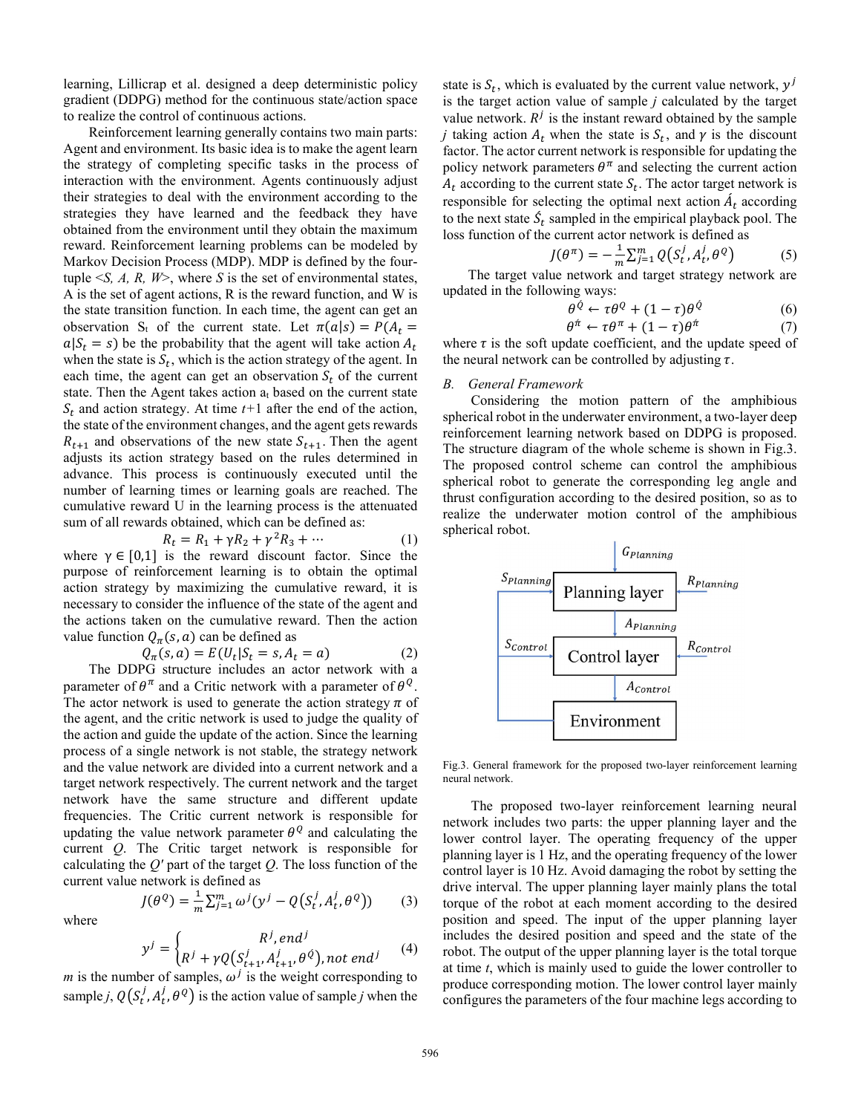learning, Lillicrap et al. designed a deep deterministic policy gradient (DDPG) method for the continuous state/action space to realize the control of continuous actions.

 Reinforcement learning generally contains two main parts: Agent and environment. Its basic idea is to make the agent learn the strategy of completing specific tasks in the process of interaction with the environment. Agents continuously adjust their strategies to deal with the environment according to the strategies they have learned and the feedback they have obtained from the environment until they obtain the maximum reward. Reinforcement learning problems can be modeled by Markov Decision Process (MDP). MDP is defined by the fourtuple  $\leq S$ , A, R, W $\geq$ , where S is the set of environmental states, A is the set of agent actions, R is the reward function, and W is the state transition function. In each time, the agent can get an observation S<sub>t</sub> of the current state. Let  $\pi(a|s) = P(A_t =$  $a|S_t = s$ ) be the probability that the agent will take action  $A_t$ when the state is  $S_t$ , which is the action strategy of the agent. In each time, the agent can get an observation  $S_t$  of the current state. Then the Agent takes action  $a_t$  based on the current state  $S_t$  and action strategy. At time  $t+1$  after the end of the action, the state of the environment changes, and the agent gets rewards  $R_{t+1}$  and observations of the new state  $S_{t+1}$ . Then the agent adjusts its action strategy based on the rules determined in advance. This process is continuously executed until the number of learning times or learning goals are reached. The cumulative reward U in the learning process is the attenuated sum of all rewards obtained, which can be defined as:

$$
R_t = R_1 + \gamma R_2 + \gamma^2 R_3 + \cdots \qquad (1)
$$

where  $\gamma \in [0,1]$  is the reward discount factor. Since the purpose of reinforcement learning is to obtain the optimal action strategy by maximizing the cumulative reward, it is necessary to consider the influence of the state of the agent and the actions taken on the cumulative reward. Then the action value function  $Q_{\pi}(s, a)$  can be defined as

$$
Q_{\pi}(s, a) = E(U_t | S_t = s, A_t = a)
$$
\n<sup>(2)</sup>

 The DDPG structure includes an actor network with a parameter of  $\theta^{\pi}$  and a Critic network with a parameter of  $\theta^{Q}$ . The actor network is used to generate the action strategy  $\pi$  of the agent, and the critic network is used to judge the quality of the action and guide the update of the action. Since the learning process of a single network is not stable, the strategy network and the value network are divided into a current network and a target network respectively. The current network and the target network have the same structure and different update frequencies. The Critic current network is responsible for updating the value network parameter  $\theta^Q$  and calculating the current *Q*. The Critic target network is responsible for calculating the *Q'* part of the target *Q*. The loss function of the current value network is defined as

where

$$
J(\theta^Q) = \frac{1}{m} \sum_{j=1}^m \omega^j (y^j - Q(S_t^j, A_t^j, \theta^Q))
$$
 (3)

$$
y^{j} = \begin{cases} R^{j}, end^{j} \\ R^{j} + \gamma Q(S_{t+1}^{j}, A_{t+1}^{j}, \theta^{j}), not end^{j} \end{cases}
$$
  
\n*m* is the number of samples,  $\omega^{j}$  is the weight corresponding to

sample *j*,  $Q(S_t^j, A_t^j, \theta^Q)$  is the action value of sample *j* when the

state is  $S_t$ , which is evaluated by the current value network,  $y^j$ is the target action value of sample *j* calculated by the target value network.  $R^{j}$  is the instant reward obtained by the sample *j* taking action  $A_t$  when the state is  $S_t$ , and  $\gamma$  is the discount factor. The actor current network is responsible for updating the policy network parameters  $\theta^{\pi}$  and selecting the current action  $A_t$  according to the current state  $S_t$ . The actor target network is responsible for selecting the optimal next action  $A_t$  according to the next state  $S_t$  sampled in the empirical playback pool. The loss function of the current actor network is defined as

$$
J(\theta^{\pi}) = -\frac{1}{m} \sum_{j=1}^{m} Q(S_t^j, A_t^j, \theta^Q)
$$
 (5)

The target value network and target strategy network are updated in the following ways:

$$
\theta^{\hat{Q}} \leftarrow \tau \theta^Q + (1 - \tau) \theta^{\hat{Q}} \tag{6}
$$

$$
\theta^{\pi} \leftarrow \tau \theta^{\pi} + (1 - \tau) \theta^{\pi} \tag{7}
$$

where  $\tau$  is the soft update coefficient, and the update speed of the neural network can be controlled by adjusting  $\tau$ .

## *B. General Framework*

Considering the motion pattern of the amphibious spherical robot in the underwater environment, a two-layer deep reinforcement learning network based on DDPG is proposed. The structure diagram of the whole scheme is shown in Fig.3. The proposed control scheme can control the amphibious spherical robot to generate the corresponding leg angle and thrust configuration according to the desired position, so as to realize the underwater motion control of the amphibious spherical robot.



Fig.3. General framework for the proposed two-layer reinforcement learning neural network.

The proposed two-layer reinforcement learning neural network includes two parts: the upper planning layer and the lower control layer. The operating frequency of the upper planning layer is 1 Hz, and the operating frequency of the lower control layer is 10 Hz. Avoid damaging the robot by setting the drive interval. The upper planning layer mainly plans the total torque of the robot at each moment according to the desired position and speed. The input of the upper planning layer includes the desired position and speed and the state of the robot. The output of the upper planning layer is the total torque at time *t*, which is mainly used to guide the lower controller to produce corresponding motion. The lower control layer mainly configures the parameters of the four machine legs according to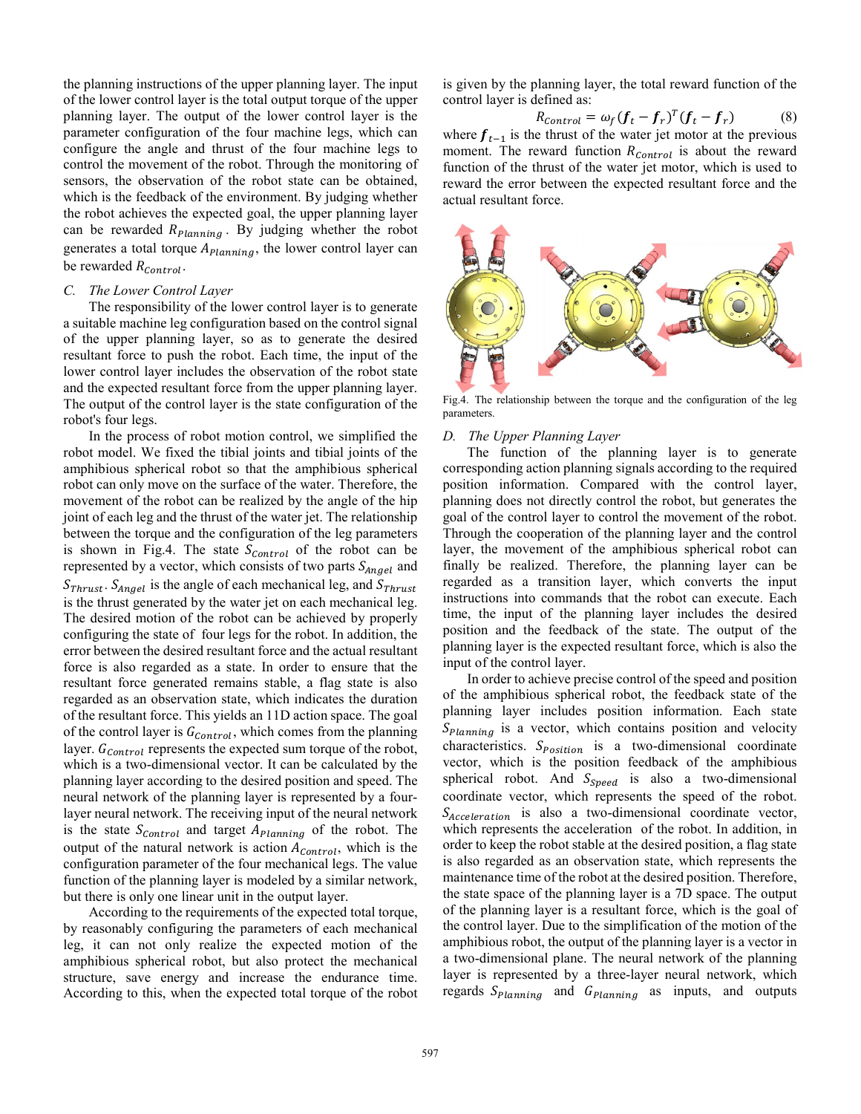the planning instructions of the upper planning layer. The input of the lower control layer is the total output torque of the upper planning layer. The output of the lower control layer is the parameter configuration of the four machine legs, which can configure the angle and thrust of the four machine legs to control the movement of the robot. Through the monitoring of sensors, the observation of the robot state can be obtained, which is the feedback of the environment. By judging whether the robot achieves the expected goal, the upper planning layer can be rewarded  $R_{Planning}$ . By judging whether the robot generates a total torque  $A_{Planning}$ , the lower control layer can be rewarded  $R_{Control}$ .

#### *C. The Lower Control Layer*

 The responsibility of the lower control layer is to generate a suitable machine leg configuration based on the control signal of the upper planning layer, so as to generate the desired resultant force to push the robot. Each time, the input of the lower control layer includes the observation of the robot state and the expected resultant force from the upper planning layer. The output of the control layer is the state configuration of the robot's four legs.

 In the process of robot motion control, we simplified the robot model. We fixed the tibial joints and tibial joints of the amphibious spherical robot so that the amphibious spherical robot can only move on the surface of the water. Therefore, the movement of the robot can be realized by the angle of the hip joint of each leg and the thrust of the water jet. The relationship between the torque and the configuration of the leg parameters is shown in Fig.4. The state  $S_{Control}$  of the robot can be represented by a vector, which consists of two parts  $S_{Angel}$  and  $S_{Thrust}$ .  $S_{Angel}$  is the angle of each mechanical leg, and  $S_{Thrust}$ is the thrust generated by the water jet on each mechanical leg. The desired motion of the robot can be achieved by properly configuring the state of four legs for the robot. In addition, the error between the desired resultant force and the actual resultant force is also regarded as a state. In order to ensure that the resultant force generated remains stable, a flag state is also regarded as an observation state, which indicates the duration of the resultant force. This yields an 11D action space. The goal of the control layer is  $G_{control}$ , which comes from the planning layer.  $G_{Control}$  represents the expected sum torque of the robot, which is a two-dimensional vector. It can be calculated by the planning layer according to the desired position and speed. The neural network of the planning layer is represented by a fourlayer neural network. The receiving input of the neural network is the state  $S_{Control}$  and target  $A_{Planning}$  of the robot. The output of the natural network is action  $A_{Control}$ , which is the configuration parameter of the four mechanical legs. The value function of the planning layer is modeled by a similar network, but there is only one linear unit in the output layer.

 According to the requirements of the expected total torque, by reasonably configuring the parameters of each mechanical leg, it can not only realize the expected motion of the amphibious spherical robot, but also protect the mechanical structure, save energy and increase the endurance time. According to this, when the expected total torque of the robot is given by the planning layer, the total reward function of the control layer is defined as:

$$
R_{control} = \omega_f (\boldsymbol{f}_t - \boldsymbol{f}_r)^T (\boldsymbol{f}_t - \boldsymbol{f}_r)
$$
(8)

where  $f_{t-1}$  is the thrust of the water jet motor at the previous moment. The reward function  $R_{Control}$  is about the reward function of the thrust of the water jet motor, which is used to reward the error between the expected resultant force and the actual resultant force.



Fig.4. The relationship between the torque and the configuration of the leg parameters.

### *D. The Upper Planning Layer*

The function of the planning layer is to generate corresponding action planning signals according to the required position information. Compared with the control layer, planning does not directly control the robot, but generates the goal of the control layer to control the movement of the robot. Through the cooperation of the planning layer and the control layer, the movement of the amphibious spherical robot can finally be realized. Therefore, the planning layer can be regarded as a transition layer, which converts the input instructions into commands that the robot can execute. Each time, the input of the planning layer includes the desired position and the feedback of the state. The output of the planning layer is the expected resultant force, which is also the input of the control layer.

In order to achieve precise control of the speed and position of the amphibious spherical robot, the feedback state of the planning layer includes position information. Each state  $S_{Planning}$  is a vector, which contains position and velocity characteristics.  $S_{Position}$  is a two-dimensional coordinate vector, which is the position feedback of the amphibious spherical robot. And  $S_{speed}$  is also a two-dimensional coordinate vector, which represents the speed of the robot.  $S_{\text{Acceleration}}$  is also a two-dimensional coordinate vector, which represents the acceleration of the robot. In addition, in order to keep the robot stable at the desired position, a flag state is also regarded as an observation state, which represents the maintenance time of the robot at the desired position. Therefore, the state space of the planning layer is a 7D space. The output of the planning layer is a resultant force, which is the goal of the control layer. Due to the simplification of the motion of the amphibious robot, the output of the planning layer is a vector in a two-dimensional plane. The neural network of the planning layer is represented by a three-layer neural network, which regards  $S_{Planning}$  and  $G_{Planning}$  as inputs, and outputs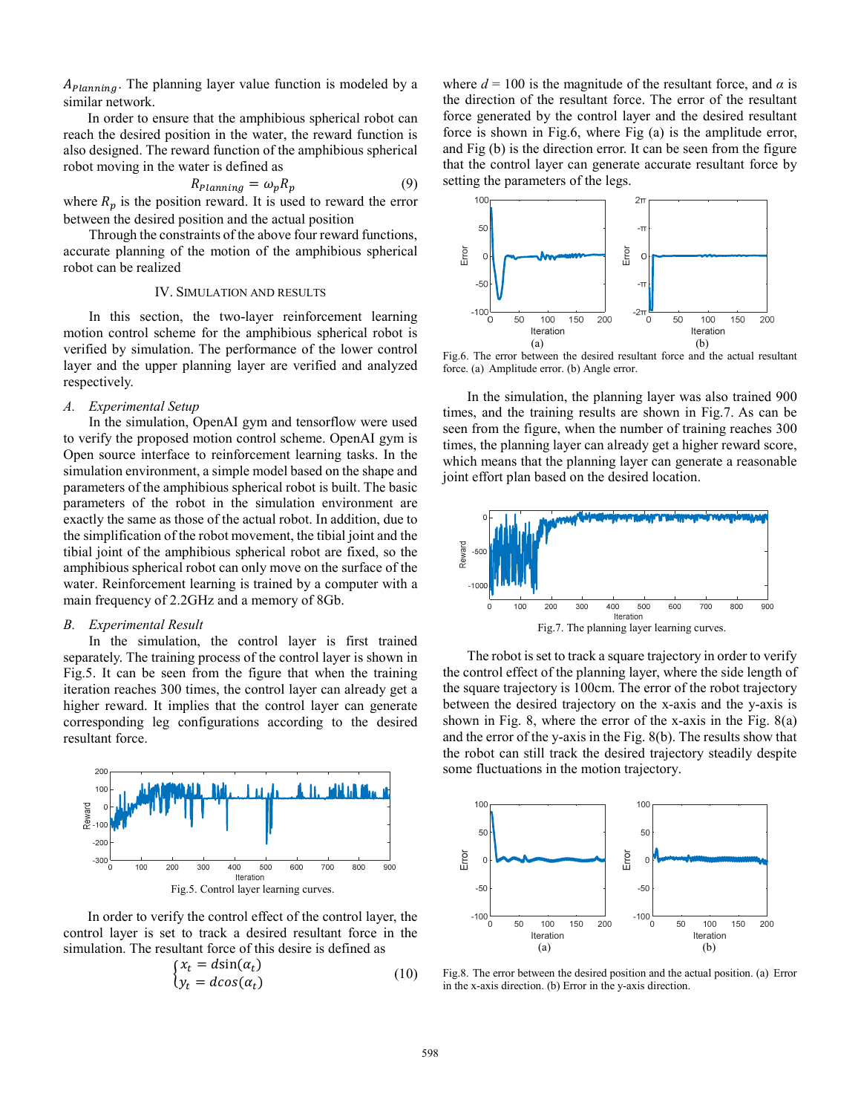$A_{Planning}$ . The planning layer value function is modeled by a similar network.

In order to ensure that the amphibious spherical robot can reach the desired position in the water, the reward function is also designed. The reward function of the amphibious spherical robot moving in the water is defined as

$$
R_{Planning} = \omega_p R_p \tag{9}
$$

where  $R_p$  is the position reward. It is used to reward the error between the desired position and the actual position

 Through the constraints of the above four reward functions, accurate planning of the motion of the amphibious spherical robot can be realized

## IV. SIMULATION AND RESULTS

In this section, the two-layer reinforcement learning motion control scheme for the amphibious spherical robot is verified by simulation. The performance of the lower control layer and the upper planning layer are verified and analyzed respectively.

#### *A. Experimental Setup*

 In the simulation, OpenAI gym and tensorflow were used to verify the proposed motion control scheme. OpenAI gym is Open source interface to reinforcement learning tasks. In the simulation environment, a simple model based on the shape and parameters of the amphibious spherical robot is built. The basic parameters of the robot in the simulation environment are exactly the same as those of the actual robot. In addition, due to the simplification of the robot movement, the tibial joint and the tibial joint of the amphibious spherical robot are fixed, so the amphibious spherical robot can only move on the surface of the water. Reinforcement learning is trained by a computer with a main frequency of 2.2GHz and a memory of 8Gb.

# *B. Experimental Result*

 In the simulation, the control layer is first trained separately. The training process of the control layer is shown in Fig.5. It can be seen from the figure that when the training iteration reaches 300 times, the control layer can already get a higher reward. It implies that the control layer can generate corresponding leg configurations according to the desired resultant force.



In order to verify the control effect of the control layer, the control layer is set to track a desired resultant force in the simulation. The resultant force of this desire is defined as

$$
\begin{cases} x_t = d\sin(\alpha_t) \\ y_t = d\cos(\alpha_t) \end{cases} \tag{10}
$$

where  $d = 100$  is the magnitude of the resultant force, and  $\alpha$  is the direction of the resultant force. The error of the resultant force generated by the control layer and the desired resultant force is shown in Fig.6, where Fig (a) is the amplitude error, and Fig (b) is the direction error. It can be seen from the figure that the control layer can generate accurate resultant force by setting the parameters of the legs.



Fig.6. The error between the desired resultant force and the actual resultant force. (a) Amplitude error. (b) Angle error.

In the simulation, the planning layer was also trained 900 times, and the training results are shown in Fig.7. As can be seen from the figure, when the number of training reaches 300 times, the planning layer can already get a higher reward score, which means that the planning layer can generate a reasonable joint effort plan based on the desired location.



The robot is set to track a square trajectory in order to verify the control effect of the planning layer, where the side length of the square trajectory is 100cm. The error of the robot trajectory between the desired trajectory on the x-axis and the y-axis is shown in Fig. 8, where the error of the x-axis in the Fig. 8(a) and the error of the y-axis in the Fig. 8(b). The results show that the robot can still track the desired trajectory steadily despite some fluctuations in the motion trajectory.



Fig.8. The error between the desired position and the actual position. (a) Error